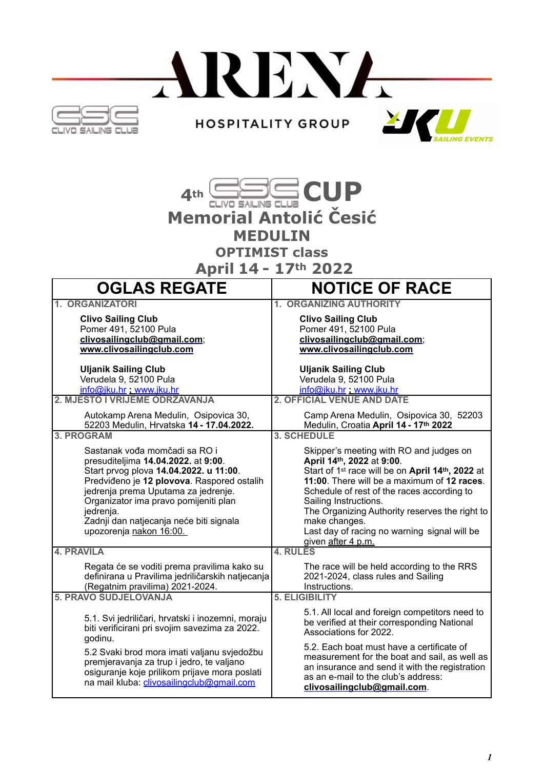



 **April 14 - 17th 2022** 

| <b>OGLAS REGATE</b>                                                                                                                                                                                                                                                                                                             | <b>NOTICE OF RACE</b>                                                                                                                                                                                                                                                                                                                                                                                            |
|---------------------------------------------------------------------------------------------------------------------------------------------------------------------------------------------------------------------------------------------------------------------------------------------------------------------------------|------------------------------------------------------------------------------------------------------------------------------------------------------------------------------------------------------------------------------------------------------------------------------------------------------------------------------------------------------------------------------------------------------------------|
| 1. ORGANIZATORI                                                                                                                                                                                                                                                                                                                 | <b>1. ORGANIZING AUTHORITY</b>                                                                                                                                                                                                                                                                                                                                                                                   |
| <b>Clivo Sailing Club</b><br>Pomer 491, 52100 Pula<br>clivosailingclub@gmail.com;<br>www.clivosailingclub.com                                                                                                                                                                                                                   | <b>Clivo Sailing Club</b><br>Pomer 491, 52100 Pula<br>clivosailingclub@gmail.com;<br>www.clivosailingclub.com                                                                                                                                                                                                                                                                                                    |
| <b>Uljanik Sailing Club</b><br>Verudela 9, 52100 Pula<br>info@jku.hr www.jku.hr                                                                                                                                                                                                                                                 | <b>Uljanik Sailing Club</b><br>Verudela 9, 52100 Pula<br>info@jku.hr www.jku.hr                                                                                                                                                                                                                                                                                                                                  |
| 2. MJESTO I VRIJEME ODRŽAVANJA                                                                                                                                                                                                                                                                                                  | <b>2. OFFICIAL VENUE AND DATE</b>                                                                                                                                                                                                                                                                                                                                                                                |
| Autokamp Arena Medulin, Osipovica 30,<br>52203 Medulin, Hrvatska 14 - 17.04.2022.                                                                                                                                                                                                                                               | Camp Arena Medulin, Osipovica 30, 52203<br>Medulin, Croatia April 14 - 17th 2022                                                                                                                                                                                                                                                                                                                                 |
| <b>3. PROGRAM</b>                                                                                                                                                                                                                                                                                                               | <b>3. SCHEDULE</b>                                                                                                                                                                                                                                                                                                                                                                                               |
| Sastanak vođa momčadi sa RO i<br>presuditeljima 14.04.2022. at 9:00.<br>Start prvog plova 14.04.2022. u 11:00.<br>Predviđeno je 12 plovova. Raspored ostalih<br>jedrenja prema Uputama za jedrenje.<br>Organizator ima pravo pomijeniti plan<br>jedrenja.<br>Zadnji dan natjecanja neće biti signala<br>upozorenja nakon 16:00. | Skipper's meeting with RO and judges on<br>April 14th, 2022 at 9:00.<br>Start of 1 <sup>st</sup> race will be on April 14 <sup>th</sup> , 2022 at<br>11:00. There will be a maximum of 12 races.<br>Schedule of rest of the races according to<br>Sailing Instructions.<br>The Organizing Authority reserves the right to<br>make changes.<br>Last day of racing no warning signal will be<br>given after 4 p.m. |
| <b>4. PRAVILA</b>                                                                                                                                                                                                                                                                                                               | 4. RULES                                                                                                                                                                                                                                                                                                                                                                                                         |
| Regata će se voditi prema pravilima kako su<br>definirana u Pravilima jedriličarskih natjecanja<br>(Regatnim pravilima) 2021-2024.                                                                                                                                                                                              | The race will be held according to the RRS<br>2021-2024, class rules and Sailing<br>Instructions.                                                                                                                                                                                                                                                                                                                |
| <b>5. PRAVO SUDJELOVANJA</b>                                                                                                                                                                                                                                                                                                    | <b>5. ELIGIBILITY</b>                                                                                                                                                                                                                                                                                                                                                                                            |
| 5.1. Svi jedriličari, hrvatski i inozemni, moraju<br>biti verificirani pri svojim savezima za 2022.<br>godinu.                                                                                                                                                                                                                  | 5.1. All local and foreign competitors need to<br>be verified at their corresponding National<br>Associations for 2022.                                                                                                                                                                                                                                                                                          |
| 5.2 Svaki brod mora imati valjanu svjedožbu<br>premjeravanja za trup i jedro, te valjano<br>osiguranje koje prilikom prijave mora poslati<br>na mail kluba: clivosailingclub@gmail.com                                                                                                                                          | 5.2. Each boat must have a certificate of<br>measurement for the boat and sail, as well as<br>an insurance and send it with the registration<br>as an e-mail to the club's address:<br>clivosailingclub@gmail.com.                                                                                                                                                                                               |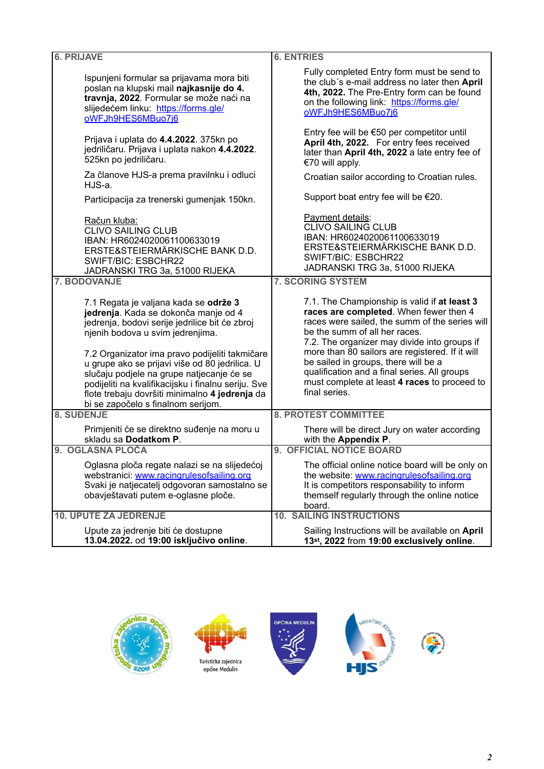| <b>6. PRIJAVE</b>                                                                                                                                                                                                                                                                                                                                                           | <b>6. ENTRIES</b>                                                                                                                                                                                                                                                                                                                                                                                                    |
|-----------------------------------------------------------------------------------------------------------------------------------------------------------------------------------------------------------------------------------------------------------------------------------------------------------------------------------------------------------------------------|----------------------------------------------------------------------------------------------------------------------------------------------------------------------------------------------------------------------------------------------------------------------------------------------------------------------------------------------------------------------------------------------------------------------|
| Ispunjeni formular sa prijavama mora biti<br>poslan na klupski mail najkasnije do 4.<br>travnja, 2022. Formular se može naći na<br>slijedećem linku: https://forms.gle/<br>oWFJh9HES6MBuo7j6                                                                                                                                                                                | Fully completed Entry form must be send to<br>the club's e-mail address no later then April<br>4th, 2022. The Pre-Entry form can be found<br>on the following link: https://forms.gle/<br>oWFJh9HES6MBuo7j6                                                                                                                                                                                                          |
| Prijava i uplata do 4.4.2022. 375kn po<br>jedriličaru. Prijava i uplata nakon 4.4.2022.<br>525kn po jedriličaru.                                                                                                                                                                                                                                                            | Entry fee will be €50 per competitor until<br>April 4th, 2022. For entry fees received<br>later than April 4th, 2022 a late entry fee of<br>€70 will apply.                                                                                                                                                                                                                                                          |
| Za članove HJS-a prema pravilnku i odluci<br>HJS-a.                                                                                                                                                                                                                                                                                                                         | Croatian sailor according to Croatian rules.                                                                                                                                                                                                                                                                                                                                                                         |
| Participacija za trenerski gumenjak 150kn.                                                                                                                                                                                                                                                                                                                                  | Support boat entry fee will be €20.                                                                                                                                                                                                                                                                                                                                                                                  |
| Račun kluba:<br><b>CLIVO SAILING CLUB</b><br>IBAN: HR6024020061100633019<br>ERSTE&STEIERMÄRKISCHE BANK D.D.<br>SWIFT/BIC: ESBCHR22<br>JADRANSKI TRG 3a, 51000 RIJEKA                                                                                                                                                                                                        | Payment details:<br><b>CLIVO SAILING CLUB</b><br>IBAN: HR6024020061100633019<br>ERSTE&STEIERMÄRKISCHE BANK D.D.<br>SWIFT/BIC: ESBCHR22<br>JADRANSKI TRG 3a, 51000 RIJEKA                                                                                                                                                                                                                                             |
| 7. BODOVANJE                                                                                                                                                                                                                                                                                                                                                                | <b>7. SCORING SYSTEM</b>                                                                                                                                                                                                                                                                                                                                                                                             |
| 7.1 Regata je valjana kada se održe 3<br>jedrenja. Kada se dokonča manje od 4<br>jedrenja, bodovi serije jedrilice bit će zbroj<br>njenih bodova u svim jedrenjima.<br>7.2 Organizator ima pravo podijeliti takmičare<br>u grupe ako se prijavi više od 80 jedrilica. U<br>slučaju podjele na grupe natjecanje će se<br>podijeliti na kvalifikacijsku i finalnu seriju. Sve | 7.1. The Championship is valid if at least 3<br>races are completed. When fewer then 4<br>races were sailed, the summ of the series will<br>be the summ of all her races.<br>7.2. The organizer may divide into groups if<br>more than 80 sailors are registered. If it will<br>be sailed in groups, there will be a<br>qualification and a final series. All groups<br>must complete at least 4 races to proceed to |
| flote trebaju dovršiti minimalno 4 jedrenja da<br>bi se započelo s finalnom serijom.                                                                                                                                                                                                                                                                                        | final series.                                                                                                                                                                                                                                                                                                                                                                                                        |
| 8. SUĐENJE                                                                                                                                                                                                                                                                                                                                                                  | <b>8. PROTEST COMMITTEE</b>                                                                                                                                                                                                                                                                                                                                                                                          |
| Primjeniti će se direktno suđenje na moru u<br>skladu sa Dodatkom P.                                                                                                                                                                                                                                                                                                        | There will be direct Jury on water according<br>with the Appendix P.                                                                                                                                                                                                                                                                                                                                                 |
| 9. OGLASNA PLOČA                                                                                                                                                                                                                                                                                                                                                            | 9. OFFICIAL NOTICE BOARD                                                                                                                                                                                                                                                                                                                                                                                             |
| Oglasna ploča regate nalazi se na slijedećoj<br>webstranici: www.racingrulesofsailing.org<br>Svaki je natjecatelj odgovoran samostalno se<br>obavještavati putem e-oglasne ploče.                                                                                                                                                                                           | The official online notice board will be only on<br>the website: www.racingrulesofsailing.org<br>It is competitors responsability to inform<br>themself regularly through the online notice<br>board.                                                                                                                                                                                                                |
| <b>10. UPUTE ZA JEDRENJE</b>                                                                                                                                                                                                                                                                                                                                                | <b>10. SAILING INSTRUCTIONS</b>                                                                                                                                                                                                                                                                                                                                                                                      |
| Upute za jedrenje biti će dostupne<br>13.04.2022. od 19:00 isključivo online.                                                                                                                                                                                                                                                                                               | Sailing Instructions will be available on April<br>13st, 2022 from 19:00 exclusively online.                                                                                                                                                                                                                                                                                                                         |







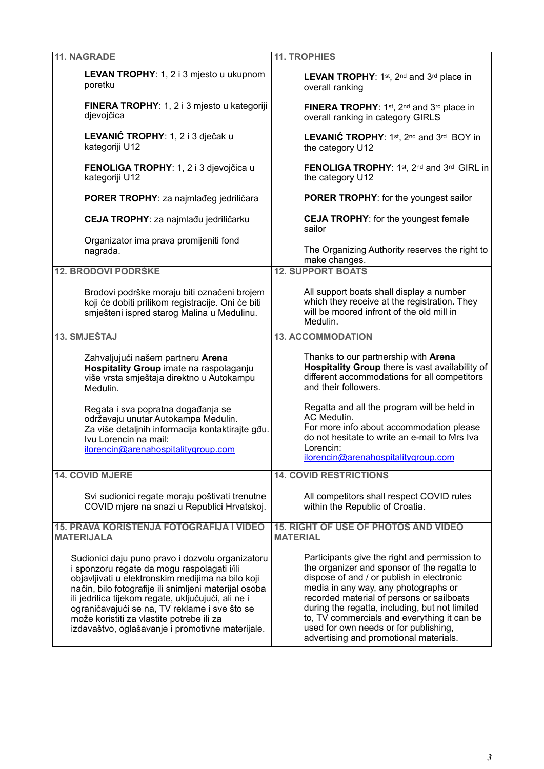| <b>11. NAGRADE</b>                                                                                                                                                                                                                                                                                                                                                                                                     | <b>11. TROPHIES</b>                                                                                                                                                                                                                                                                                                                                                                                                |
|------------------------------------------------------------------------------------------------------------------------------------------------------------------------------------------------------------------------------------------------------------------------------------------------------------------------------------------------------------------------------------------------------------------------|--------------------------------------------------------------------------------------------------------------------------------------------------------------------------------------------------------------------------------------------------------------------------------------------------------------------------------------------------------------------------------------------------------------------|
| LEVAN TROPHY: 1, 2 i 3 mjesto u ukupnom<br>poretku                                                                                                                                                                                                                                                                                                                                                                     | LEVAN TROPHY: 1st, 2nd and 3rd place in<br>overall ranking                                                                                                                                                                                                                                                                                                                                                         |
| FINERA TROPHY: 1, 2 i 3 mjesto u kategoriji<br>djevojčica                                                                                                                                                                                                                                                                                                                                                              | FINERA TROPHY: 1st, 2nd and 3rd place in<br>overall ranking in category GIRLS                                                                                                                                                                                                                                                                                                                                      |
| LEVANIĆ TROPHY: 1, 2 i 3 dječak u<br>kategoriji U12                                                                                                                                                                                                                                                                                                                                                                    | <b>LEVANIC TROPHY:</b> 1st, 2nd and 3rd BOY in<br>the category U12                                                                                                                                                                                                                                                                                                                                                 |
| FENOLIGA TROPHY: 1, 2 i 3 djevojčica u<br>kategoriji U12                                                                                                                                                                                                                                                                                                                                                               | <b>FENOLIGA TROPHY: 1st, 2nd and 3rd GIRL in</b><br>the category U12                                                                                                                                                                                                                                                                                                                                               |
| PORER TROPHY: za najmlađeg jedriličara                                                                                                                                                                                                                                                                                                                                                                                 | <b>PORER TROPHY:</b> for the youngest sailor                                                                                                                                                                                                                                                                                                                                                                       |
| CEJA TROPHY: za najmlađu jedriličarku                                                                                                                                                                                                                                                                                                                                                                                  | <b>CEJA TROPHY:</b> for the youngest female<br>sailor                                                                                                                                                                                                                                                                                                                                                              |
| Organizator ima prava promijeniti fond<br>nagrada.                                                                                                                                                                                                                                                                                                                                                                     | The Organizing Authority reserves the right to<br>make changes.                                                                                                                                                                                                                                                                                                                                                    |
| <b>12. BRODOVI PODRŠKE</b>                                                                                                                                                                                                                                                                                                                                                                                             | <b>12. SUPPORT BOATS</b>                                                                                                                                                                                                                                                                                                                                                                                           |
| Brodovi podrške moraju biti označeni brojem<br>koji će dobiti prilikom registracije. Oni će biti<br>smješteni ispred starog Malina u Medulinu.                                                                                                                                                                                                                                                                         | All support boats shall display a number<br>which they receive at the registration. They<br>will be moored infront of the old mill in<br>Medulin.                                                                                                                                                                                                                                                                  |
| 13. SMJEŠTAJ                                                                                                                                                                                                                                                                                                                                                                                                           | <b>13. ACCOMMODATION</b>                                                                                                                                                                                                                                                                                                                                                                                           |
| Zahvaljujući našem partneru Arena<br>Hospitality Group imate na raspolaganju<br>više vrsta smještaja direktno u Autokampu<br>Medulin.                                                                                                                                                                                                                                                                                  | Thanks to our partnership with Arena<br>Hospitality Group there is vast availability of<br>different accommodations for all competitors<br>and their followers.                                                                                                                                                                                                                                                    |
| Regata i sva popratna događanja se<br>održavaju unutar Autokampa Medulin.<br>Za više detaljnih informacija kontaktirajte gđu.<br>Ivu Lorencin na mail:<br>ilorencin@arenahospitalitygroup.com                                                                                                                                                                                                                          | Regatta and all the program will be held in<br>AC Medulin.<br>For more info about accommodation please<br>do not hesitate to write an e-mail to Mrs Iva<br>Lorencin:<br>ilorencin@arenahospitalitygroup.com                                                                                                                                                                                                        |
| <b>14. COVID MJERE</b>                                                                                                                                                                                                                                                                                                                                                                                                 | <b>14. COVID RESTRICTIONS</b>                                                                                                                                                                                                                                                                                                                                                                                      |
| Svi sudionici regate moraju poštivati trenutne<br>COVID mjere na snazi u Republici Hrvatskoj.                                                                                                                                                                                                                                                                                                                          | All competitors shall respect COVID rules<br>within the Republic of Croatia.                                                                                                                                                                                                                                                                                                                                       |
| <b>15. PRAVA KORIŠTENJA FOTOGRAFIJA I VIDEO</b><br><b>MATERIJALA</b>                                                                                                                                                                                                                                                                                                                                                   | <b>15. RIGHT OF USE OF PHOTOS AND VIDEO</b><br><b>MATERIAL</b>                                                                                                                                                                                                                                                                                                                                                     |
| Sudionici daju puno pravo i dozvolu organizatoru<br>i sponzoru regate da mogu raspolagati i/ili<br>objavljivati u elektronskim medijima na bilo koji<br>način, bilo fotografije ili snimljeni materijal osoba<br>ili jedrilica tijekom regate, uključujući, ali ne i<br>ograničavajući se na, TV reklame i sve što se<br>može koristiti za vlastite potrebe ili za<br>izdavaštvo, oglašavanje i promotivne materijale. | Participants give the right and permission to<br>the organizer and sponsor of the regatta to<br>dispose of and / or publish in electronic<br>media in any way, any photographs or<br>recorded material of persons or sailboats<br>during the regatta, including, but not limited<br>to, TV commercials and everything it can be<br>used for own needs or for publishing,<br>advertising and promotional materials. |